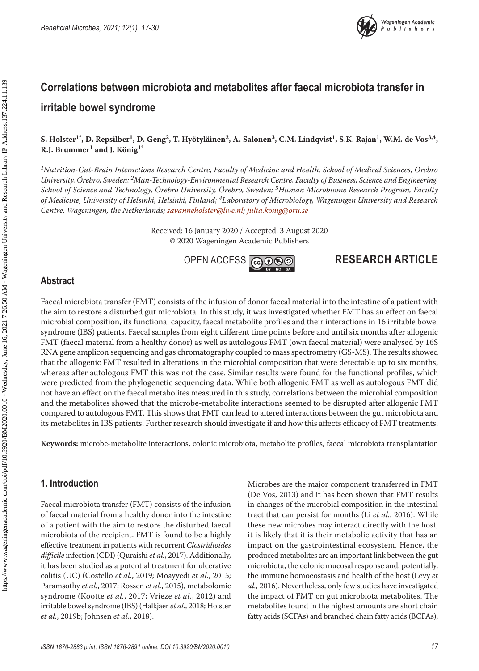

# **Correlations between microbiota and metabolites after faecal microbiota transfer in irritable bowel syndrome**

S. Holster<sup>1\*</sup>, D. Repsilber<sup>1</sup>, D. Geng<sup>2</sup>, T. Hyötyläinen<sup>2</sup>, A. Salonen<sup>3</sup>, C.M. Lindqvist<sup>1</sup>, S.K. Rajan<sup>1</sup>, W.M. de Vos<sup>3,4</sup>, **R.J. Brummer1 and J. König1\***

*1Nutrition-Gut-Brain Interactions Research Centre, Faculty of Medicine and Health, School of Medical Sciences, Örebro University, Örebro, Sweden; 2Man-Technology-Environmental Research Centre, Faculty of Business, Science and Engineering, School of Science and Technology, Örebro University, Örebro, Sweden; 3Human Microbiome Research Program, Faculty of Medicine, University of Helsinki, Helsinki, Finland; 4Laboratory of Microbiology, Wageningen University and Research Centre, Wageningen, the Netherlands; [savanneholster@live.nl](mailto:savanneholster@live.nl); [julia.konig@oru.se](mailto:julia.konig@oru.se)*

> Received: 16 January 2020 / Accepted: 3 August 2020 © 2020 Wageningen Academic Publishers



## **RESEARCH ARTICLE**

### **Abstract**

Faecal microbiota transfer (FMT) consists of the infusion of donor faecal material into the intestine of a patient with the aim to restore a disturbed gut microbiota. In this study, it was investigated whether FMT has an effect on faecal microbial composition, its functional capacity, faecal metabolite profiles and their interactions in 16 irritable bowel syndrome (IBS) patients. Faecal samples from eight different time points before and until six months after allogenic FMT (faecal material from a healthy donor) as well as autologous FMT (own faecal material) were analysed by 16S RNA gene amplicon sequencing and gas chromatography coupled to mass spectrometry (GS-MS). The results showed that the allogenic FMT resulted in alterations in the microbial composition that were detectable up to six months, whereas after autologous FMT this was not the case. Similar results were found for the functional profiles, which were predicted from the phylogenetic sequencing data. While both allogenic FMT as well as autologous FMT did not have an effect on the faecal metabolites measured in this study, correlations between the microbial composition and the metabolites showed that the microbe-metabolite interactions seemed to be disrupted after allogenic FMT compared to autologous FMT. This shows that FMT can lead to altered interactions between the gut microbiota and its metabolites in IBS patients. Further research should investigate if and how this affects efficacy of FMT treatments.

**Keywords:** microbe-metabolite interactions, colonic microbiota, metabolite profiles, faecal microbiota transplantation

## **1. Introduction**

Faecal microbiota transfer (FMT) consists of the infusion of faecal material from a healthy donor into the intestine of a patient with the aim to restore the disturbed faecal microbiota of the recipient. FMT is found to be a highly effective treatment in patients with recurrent *Clostridioides difficile* infection (CDI) (Quraishi *et al.*, 2017). Additionally, it has been studied as a potential treatment for ulcerative colitis (UC) (Costello *et al.*, 2019; Moayyedi *et al.*, 2015; Paramsothy *et al.*, 2017; Rossen *et al.*, 2015), metabolomic syndrome (Kootte *et al.*, 2017; Vrieze *et al.*, 2012) and irritable bowel syndrome (IBS) (Halkjaer *et al.*, 2018; Holster *et al.*, 2019b; Johnsen *et al.*, 2018).

Microbes are the major component transferred in FMT (De Vos, 2013) and it has been shown that FMT results in changes of the microbial composition in the intestinal tract that can persist for months (Li *et al.*, 2016). While these new microbes may interact directly with the host, it is likely that it is their metabolic activity that has an impact on the gastrointestinal ecosystem. Hence, the produced metabolites are an important link between the gut microbiota, the colonic mucosal response and, potentially, the immune homoeostasis and health of the host (Levy *et al.*, 2016). Nevertheless, only few studies have investigated the impact of FMT on gut microbiota metabolites. The metabolites found in the highest amounts are short chain fatty acids (SCFAs) and branched chain fatty acids (BCFAs),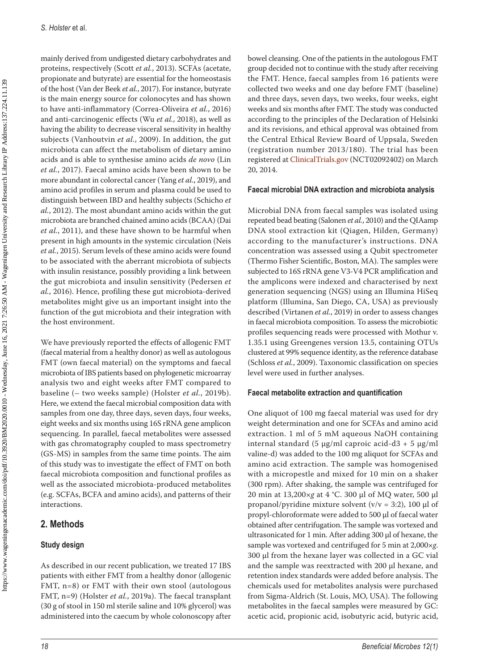mainly derived from undigested dietary carbohydrates and proteins, respectively (Scott *et al.*, 2013). SCFAs (acetate, propionate and butyrate) are essential for the homeostasis of the host (Van der Beek *et al.*, 2017). For instance, butyrate is the main energy source for colonocytes and has shown to have anti-inflammatory (Correa-Oliveira *et al.*, 2016) and anti-carcinogenic effects (Wu *et al.*, 2018), as well as having the ability to decrease visceral sensitivity in healthy subjects (Vanhoutvin *et al.*, 2009). In addition, the gut microbiota can affect the metabolism of dietary amino acids and is able to synthesise amino acids *de novo* (Lin *et al.*, 2017). Faecal amino acids have been shown to be more abundant in colorectal cancer (Yang *et al.*, 2019), and amino acid profiles in serum and plasma could be used to distinguish between IBD and healthy subjects (Schicho *et al.*, 2012). The most abundant amino acids within the gut microbiota are branched chained amino acids (BCAA) (Dai *et al.*, 2011), and these have shown to be harmful when present in high amounts in the systemic circulation (Neis *et al.*, 2015). Serum levels of these amino acids were found to be associated with the aberrant microbiota of subjects with insulin resistance, possibly providing a link between the gut microbiota and insulin sensitivity (Pedersen *et al.*, 2016). Hence, profiling these gut microbiota-derived metabolites might give us an important insight into the function of the gut microbiota and their integration with the host environment.

We have previously reported the effects of allogenic FMT (faecal material from a healthy donor) as well as autologous FMT (own faecal material) on the symptoms and faecal microbiota of IBS patients based on phylogenetic microarray analysis two and eight weeks after FMT compared to baseline (– two weeks sample) (Holster *et al.*, 2019b). Here, we extend the faecal microbial composition data with samples from one day, three days, seven days, four weeks, eight weeks and six months using 16S rRNA gene amplicon sequencing. In parallel, faecal metabolites were assessed with gas chromatography coupled to mass spectrometry (GS-MS) in samples from the same time points. The aim of this study was to investigate the effect of FMT on both faecal microbiota composition and functional profiles as well as the associated microbiota-produced metabolites (e.g. SCFAs, BCFA and amino acids), and patterns of their interactions.

## **2. Methods**

## **Study design**

As described in our recent publication, we treated 17 IBS patients with either FMT from a healthy donor (allogenic FMT, n=8) or FMT with their own stool (autologous FMT, n=9) (Holster *et al.*, 2019a). The faecal transplant (30 g of stool in 150 ml sterile saline and 10% glycerol) was administered into the caecum by whole colonoscopy after bowel cleansing. One of the patients in the autologous FMT group decided not to continue with the study after receiving the FMT. Hence, faecal samples from 16 patients were collected two weeks and one day before FMT (baseline) and three days, seven days, two weeks, four weeks, eight weeks and six months after FMT. The study was conducted according to the principles of the Declaration of Helsinki and its revisions, and ethical approval was obtained from the Central Ethical Review Board of Uppsala, Sweden (registration number 2013/180). The trial has been registered at [ClinicalTrials.gov](http://ClinicalTrials.gov) (NCT02092402) on March 20, 2014.

#### **Faecal microbial DNA extraction and microbiota analysis**

Microbial DNA from faecal samples was isolated using repeated bead beating (Salonen *et al.*, 2010) and the QIAamp DNA stool extraction kit (Qiagen, Hilden, Germany) according to the manufacturer's instructions. DNA concentration was assessed using a Qubit spectrometer (Thermo Fisher Scientific, Boston, MA). The samples were subjected to 16S rRNA gene V3-V4 PCR amplification and the amplicons were indexed and characterised by next generation sequencing (NGS) using an Illumina HiSeq platform (Illumina, San Diego, CA, USA) as previously described (Virtanen *et al.*, 2019) in order to assess changes in faecal microbiota composition. To assess the microbiotic profiles sequencing reads were processed with Mothur v. 1.35.1 using Greengenes version 13.5, containing OTUs clustered at 99% sequence identity, as the reference database (Schloss *et al.*, 2009). Taxonomic classification on species level were used in further analyses.

#### **Faecal metabolite extraction and quantification**

One aliquot of 100 mg faecal material was used for dry weight determination and one for SCFAs and amino acid extraction. 1 ml of 5 mM aqueous NaOH containing internal standard (5  $\mu$ g/ml caproic acid-d3 + 5  $\mu$ g/ml valine-d) was added to the 100 mg aliquot for SCFAs and amino acid extraction. The sample was homogenised with a micropestle and mixed for 10 min on a shaker (300 rpm). After shaking, the sample was centrifuged for 20 min at 13,200×*g* at 4 °C. 300 µl of MQ water, 500 µl propanol/pyridine mixture solvent ( $v/v = 3:2$ ), 100 µl of propyl-chloroformate were added to 500 µl of faecal water obtained after centrifugation. The sample was vortexed and ultrasonicated for 1 min. After adding 300 µl of hexane, the sample was vortexed and centrifuged for 5 min at 2,000×*g*. 300 µl from the hexane layer was collected in a GC vial and the sample was reextracted with 200 µl hexane, and retention index standards were added before analysis. The chemicals used for metabolites analysis were purchased from Sigma-Aldrich (St. Louis, MO, USA). The following metabolites in the faecal samples were measured by GC: acetic acid, propionic acid, isobutyric acid, butyric acid,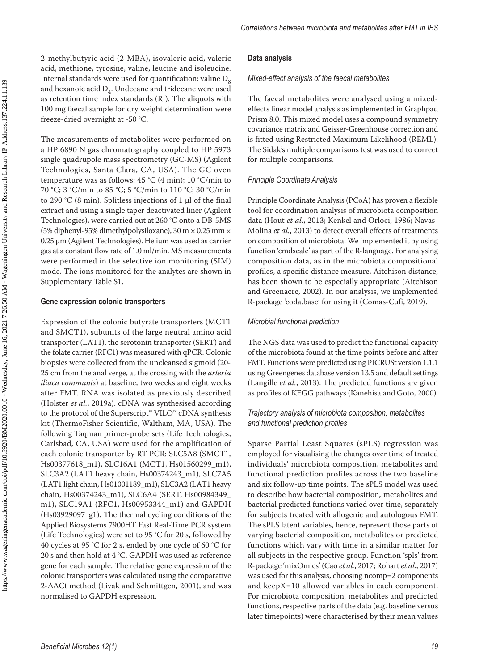*Correlations between microbiota and metabolites after FMT in IBS*

2-methylbutyric acid (2-MBA), isovaleric acid, valeric acid, methione, tyrosine, valine, leucine and isoleucine. Internal standards were used for quantification: valine  $D_8$ and hexanoic acid  $D<sub>4</sub>$ . Undecane and tridecane were used as retention time index standards (RI). The aliquots with 100 mg faecal sample for dry weight determination were freeze-dried overnight at -50 °C.

The measurements of metabolites were performed on a HP 6890 N gas chromatography coupled to HP 5973 single quadrupole mass spectrometry (GC-MS) (Agilent Technologies, Santa Clara, CA, USA). The GC oven temperature was as follows: 45 °C (4 min); 10 °C/min to 70 °C; 3 °C/min to 85 °C; 5 °C/min to 110 °C; 30 °C/min to 290 °C (8 min). Splitless injections of 1  $\mu$ l of the final extract and using a single taper deactivated liner (Agilent Technologies), were carried out at 260 °C onto a DB-5MS (5% diphenyl-95% dimethylpolysiloxane), 30 m × 0.25 mm × 0.25 μm (Agilent Technologies). Helium was used as carrier gas at a constant flow rate of 1.0 ml/min. MS measurements were performed in the selective ion monitoring (SIM) mode. The ions monitored for the analytes are shown in Supplementary Table S1.

#### **Gene expression colonic transporters**

Expression of the colonic butyrate transporters (MCT1 and SMCT1), subunits of the large neutral amino acid transporter (LAT1), the serotonin transporter (SERT) and the folate carrier (RFC1) was measured with qPCR. Colonic biopsies were collected from the uncleansed sigmoid (20- 25 cm from the anal verge, at the crossing with the *arteria iliaca communis*) at baseline, two weeks and eight weeks after FMT. RNA was isolated as previously described (Holster *et al.*, 2019a). cDNA was synthesised according to the protocol of the Superscript™ VILO™ cDNA synthesis kit (ThermoFisher Scientific, Waltham, MA, USA). The following Taqman primer-probe sets (Life Technologies, Carlsbad, CA, USA) were used for the amplification of each colonic transporter by RT PCR: SLC5A8 (SMCT1, Hs00377618\_m1), SLC16A1 (MCT1, Hs01560299\_m1), SLC3A2 (LAT1 heavy chain, Hs00374243\_m1), SLC7A5 (LAT1 light chain, Hs01001189\_m1), SLC3A2 (LAT1 heavy chain, Hs00374243\_m1), SLC6A4 (SERT, Hs00984349\_ m1), SLC19A1 (RFC1, Hs00953344\_m1) and GAPDH (Hs03929097\_g1). The thermal cycling conditions of the Applied Biosystems 7900HT Fast Real-Time PCR system (Life Technologies) were set to 95 °C for 20 s, followed by 40 cycles at 95 °C for 2 s, ended by one cycle of 60 °C for 20 s and then hold at 4 °C. GAPDH was used as reference gene for each sample. The relative gene expression of the colonic transporters was calculated using the comparative 2-ΔΔCt method (Livak and Schmittgen, 2001), and was normalised to GAPDH expression.

#### **Data analysis**

#### *Mixed-effect analysis of the faecal metabolites*

The faecal metabolites were analysed using a mixedeffects linear model analysis as implemented in Graphpad Prism 8.0. This mixed model uses a compound symmetry covariance matrix and Geisser-Greenhouse correction and is fitted using Restricted Maximum Likelihood (REML). The Sidak's multiple comparisons test was used to correct for multiple comparisons.

#### *Principle Coordinate Analysis*

Principle Coordinate Analysis (PCoA) has proven a flexible tool for coordination analysis of microbiota composition data (Hout *et al.*, 2013; Kenkel and Orloci, 1986; Navas-Molina *et al.*, 2013) to detect overall effects of treatments on composition of microbiota. We implemented it by using function 'cmdscale' as part of the R-language. For analysing composition data, as in the microbiota compositional profiles, a specific distance measure, Aitchison distance, has been shown to be especially appropriate (Aitchison and Greenacre, 2002). In our analysis, we implemented R-package 'coda.base' for using it (Comas-Cufi, 2019).

#### *Microbial functional prediction*

The NGS data was used to predict the functional capacity of the microbiota found at the time points before and after FMT. Functions were predicted using PICRUSt version 1.1.1 using Greengenes database version 13.5 and default settings (Langille *et al.*, 2013). The predicted functions are given as profiles of KEGG pathways (Kanehisa and Goto, 2000).

#### *Trajectory analysis of microbiota composition, metabolites and functional prediction profiles*

Sparse Partial Least Squares (sPLS) regression was employed for visualising the changes over time of treated individuals' microbiota composition, metabolites and functional prediction profiles across the two baseline and six follow-up time points. The sPLS model was used to describe how bacterial composition, metabolites and bacterial predicted functions varied over time, separately for subjects treated with allogenic and autologous FMT. The sPLS latent variables, hence, represent those parts of varying bacterial composition, metabolites or predicted functions which vary with time in a similar matter for all subjects in the respective group. Function 'spls' from R-package 'mixOmics' (Cao *et al.*, 2017; Rohart *et al.*, 2017) was used for this analysis, choosing ncomp=2 components and keepX=10 allowed variables in each component. For microbiota composition, metabolites and predicted functions, respective parts of the data (e.g. baseline versus later timepoints) were characterised by their mean values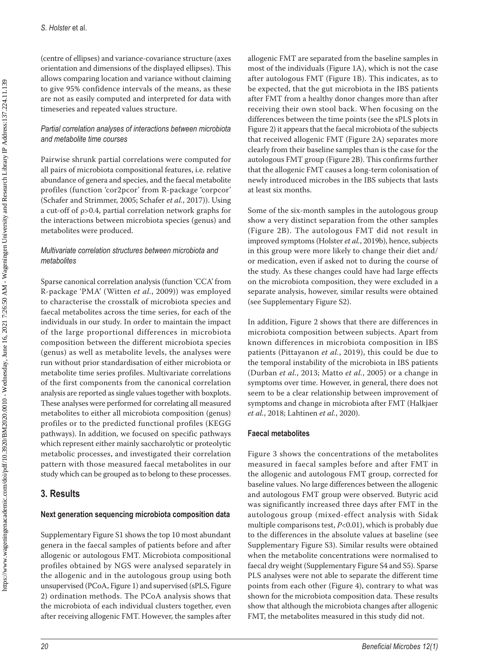(centre of ellipses) and variance-covariance structure (axes orientation and dimensions of the displayed ellipses). This allows comparing location and variance without claiming to give 95% confidence intervals of the means, as these are not as easily computed and interpreted for data with timeseries and repeated values structure.

### *Partial correlation analyses of interactions between microbiota and metabolite time courses*

Pairwise shrunk partial correlations were computed for all pairs of microbiota compositional features, i.e. relative abundance of genera and species, and the faecal metabolite profiles (function 'cor2pcor' from R-package 'corpcor' (Schafer and Strimmer, 2005; Schafer *et al.*, 2017)). Using a cut-off of ρ>0.4, partial correlation network graphs for the interactions between microbiota species (genus) and metabolites were produced.

### *Multivariate correlation structures between microbiota and metabolites*

Sparse canonical correlation analysis (function 'CCA' from R-package 'PMA' (Witten *et al.*, 2009)) was employed to characterise the crosstalk of microbiota species and faecal metabolites across the time series, for each of the individuals in our study. In order to maintain the impact of the large proportional differences in microbiota composition between the different microbiota species (genus) as well as metabolite levels, the analyses were run without prior standardisation of either microbiota or metabolite time series profiles. Multivariate correlations of the first components from the canonical correlation analysis are reported as single values together with boxplots. These analyses were performed for correlating all measured metabolites to either all microbiota composition (genus) profiles or to the predicted functional profiles (KEGG pathways). In addition, we focused on specific pathways which represent either mainly saccharolytic or proteolytic metabolic processes, and investigated their correlation pattern with those measured faecal metabolites in our study which can be grouped as to belong to these processes.

## **3. Results**

## **Next generation sequencing microbiota composition data**

Supplementary Figure S1 shows the top 10 most abundant genera in the faecal samples of patients before and after allogenic or autologous FMT. Microbiota compositional profiles obtained by NGS were analysed separately in the allogenic and in the autologous group using both unsupervised (PCoA, Figure 1) and supervised (sPLS, Figure 2) ordination methods. The PCoA analysis shows that the microbiota of each individual clusters together, even after receiving allogenic FMT. However, the samples after

allogenic FMT are separated from the baseline samples in most of the individuals (Figure 1A), which is not the case after autologous FMT (Figure 1B). This indicates, as to be expected, that the gut microbiota in the IBS patients after FMT from a healthy donor changes more than after receiving their own stool back. When focusing on the differences between the time points (see the sPLS plots in Figure 2) it appears that the faecal microbiota of the subjects that received allogenic FMT (Figure 2A) separates more clearly from their baseline samples than is the case for the autologous FMT group (Figure 2B). This confirms further that the allogenic FMT causes a long-term colonisation of newly introduced microbes in the IBS subjects that lasts at least six months.

Some of the six-month samples in the autologous group show a very distinct separation from the other samples (Figure 2B). The autologous FMT did not result in improved symptoms (Holster *et al.*, 2019b), hence, subjects in this group were more likely to change their diet and/ or medication, even if asked not to during the course of the study. As these changes could have had large effects on the microbiota composition, they were excluded in a separate analysis, however, similar results were obtained (see Supplementary Figure S2).

In addition, Figure 2 shows that there are differences in microbiota composition between subjects. Apart from known differences in microbiota composition in IBS patients (Pittayanon *et al.*, 2019), this could be due to the temporal instability of the microbiota in IBS patients (Durban *et al.*, 2013; Matto *et al.*, 2005) or a change in symptoms over time. However, in general, there does not seem to be a clear relationship between improvement of symptoms and change in microbiota after FMT (Halkjaer *et al.*, 2018; Lahtinen *et al.*, 2020).

## **Faecal metabolites**

Figure 3 shows the concentrations of the metabolites measured in faecal samples before and after FMT in the allogenic and autologous FMT group, corrected for baseline values. No large differences between the allogenic and autologous FMT group were observed. Butyric acid was significantly increased three days after FMT in the autologous group (mixed-effect analysis with Sidak multiple comparisons test, *P*<0.01), which is probably due to the differences in the absolute values at baseline (see Supplementary Figure S3). Similar results were obtained when the metabolite concentrations were normalised to faecal dry weight (Supplementary Figure S4 and S5). Sparse PLS analyses were not able to separate the different time points from each other (Figure 4), contrary to what was shown for the microbiota composition data. These results show that although the microbiota changes after allogenic FMT, the metabolites measured in this study did not.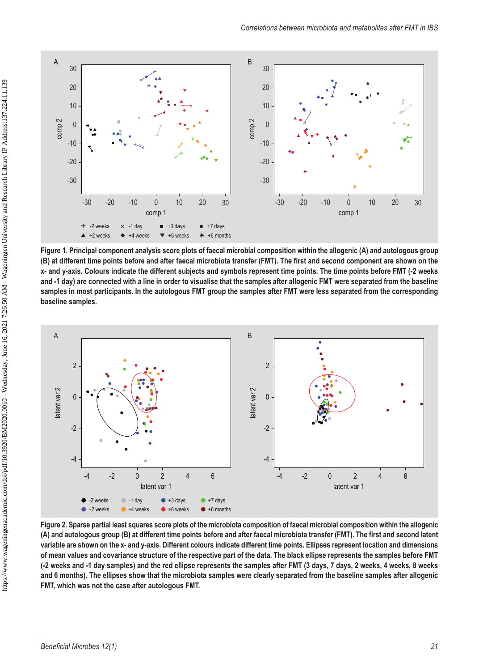

**Figure 1. Principal component analysis score plots of faecal microbial composition within the allogenic (A) and autologous group (B) at different time points before and after faecal microbiota transfer (FMT). The first and second component are shown on the x- and y-axis. Colours indicate the different subjects and symbols represent time points. The time points before FMT (-2 weeks and -1 day) are connected with a line in order to visualise that the samples after allogenic FMT were separated from the baseline samples in most participants. In the autologous FMT group the samples after FMT were less separated from the corresponding baseline samples.**



**Figure 2. Sparse partial least squares score plots of the microbiota composition of faecal microbial composition within the allogenic (A) and autologous group (B) at different time points before and after faecal microbiota transfer (FMT). The first and second latent variable are shown on the x- and y-axis. Different colours indicate different time points. Ellipses represent location and dimensions of mean values and covariance structure of the respective part of the data. The black ellipse represents the samples before FMT (-2 weeks and -1 day samples) and the red ellipse represents the samples after FMT (3 days, 7 days, 2 weeks, 4 weeks, 8 weeks and 6 months). The ellipses show that the microbiota samples were clearly separated from the baseline samples after allogenic FMT, which was not the case after autologous FMT.**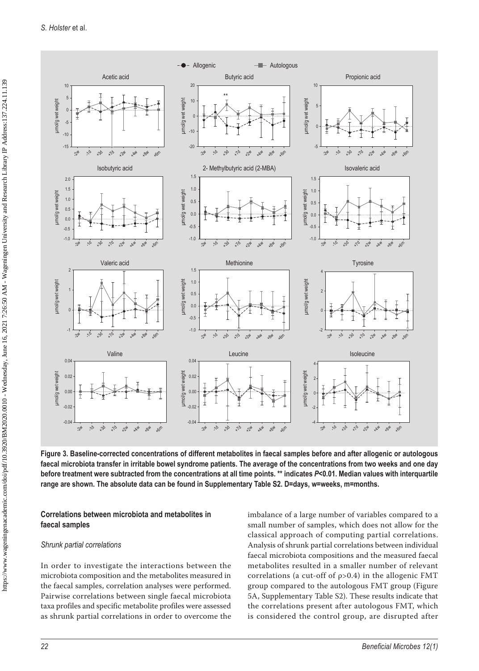

**Figure 3. Baseline-corrected concentrations of different metabolites in faecal samples before and after allogenic or autologous faecal microbiota transfer in irritable bowel syndrome patients. The average of the concentrations from two weeks and one day before treatment were subtracted from the concentrations at all time points. \*\* indicates** *P***<0.01. Median values with interquartile range are shown. The absolute data can be found in Supplementary Table S2. D=days, w=weeks, m=months.**

#### **Correlations between microbiota and metabolites in faecal samples**

#### *Shrunk partial correlations*

In order to investigate the interactions between the microbiota composition and the metabolites measured in the faecal samples, correlation analyses were performed. Pairwise correlations between single faecal microbiota taxa profiles and specific metabolite profiles were assessed as shrunk partial correlations in order to overcome the imbalance of a large number of variables compared to a small number of samples, which does not allow for the classical approach of computing partial correlations. Analysis of shrunk partial correlations between individual faecal microbiota compositions and the measured faecal metabolites resulted in a smaller number of relevant correlations (a cut-off of ρ>0.4) in the allogenic FMT group compared to the autologous FMT group (Figure 5A, Supplementary Table S2). These results indicate that the correlations present after autologous FMT, which is considered the control group, are disrupted after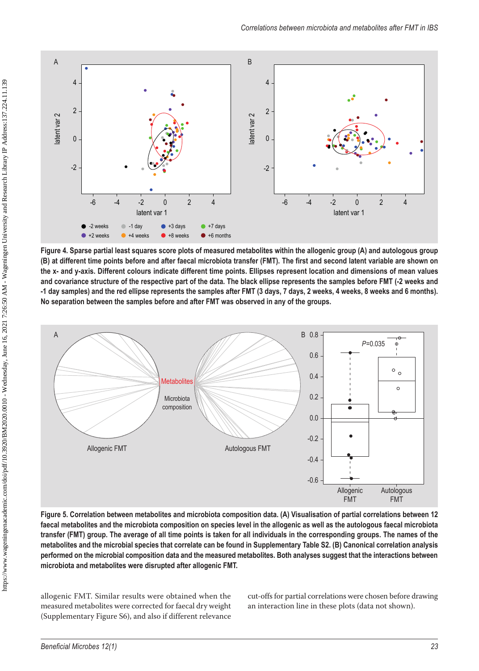

**Figure 4. Sparse partial least squares score plots of measured metabolites within the allogenic group (A) and autologous group (B) at different time points before and after faecal microbiota transfer (FMT). The first and second latent variable are shown on the x- and y-axis. Different colours indicate different time points. Ellipses represent location and dimensions of mean values and covariance structure of the respective part of the data. The black ellipse represents the samples before FMT (-2 weeks and -1 day samples) and the red ellipse represents the samples after FMT (3 days, 7 days, 2 weeks, 4 weeks, 8 weeks and 6 months). No separation between the samples before and after FMT was observed in any of the groups.**



**Figure 5. Correlation between metabolites and microbiota composition data. (A) Visualisation of partial correlations between 12 faecal metabolites and the microbiota composition on species level in the allogenic as well as the autologous faecal microbiota transfer (FMT) group. The average of all time points is taken for all individuals in the corresponding groups. The names of the metabolites and the microbial species that correlate can be found in Supplementary Table S2. (B) Canonical correlation analysis performed on the microbial composition data and the measured metabolites. Both analyses suggest that the interactions between microbiota and metabolites were disrupted after allogenic FMT.**

allogenic FMT. Similar results were obtained when the measured metabolites were corrected for faecal dry weight (Supplementary Figure S6), and also if different relevance cut-offs for partial correlations were chosen before drawing an interaction line in these plots (data not shown).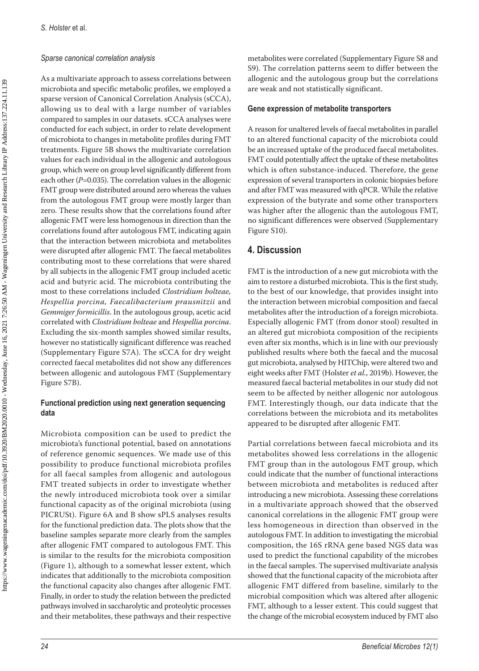#### *Sparse canonical correlation analysis*

 https://www.wageningenacademic.com/doi/pdf/10.3920/BM2020.0010 - Wednesday, June 16, 2021 7:26:50 AM - Wageningen University and Research Library IP Address:137.224.11.139 https://www.wageningenacademic.com/doi/pdf/10.3920/BM2020.0010 - Wednesday, June 16, 2021 7:26:50 AM - Wageningen University and Research Library IP Address:137.224.11.139

As a multivariate approach to assess correlations between microbiota and specific metabolic profiles, we employed a sparse version of Canonical Correlation Analysis (sCCA), allowing us to deal with a large number of variables compared to samples in our datasets. sCCA analyses were conducted for each subject, in order to relate development of microbiota to changes in metabolite profiles during FMT treatments. Figure 5B shows the multivariate correlation values for each individual in the allogenic and autologous group, which were on group level significantly different from each other (*P*=0.035). The correlation values in the allogenic FMT group were distributed around zero whereas the values from the autologous FMT group were mostly larger than zero. These results show that the correlations found after allogenic FMT were less homogenous in direction than the correlations found after autologous FMT, indicating again that the interaction between microbiota and metabolites were disrupted after allogenic FMT. The faecal metabolites contributing most to these correlations that were shared by all subjects in the allogenic FMT group included acetic acid and butyric acid. The microbiota contributing the most to these correlations included *Clostridium bolteae, Hespellia porcina, Faecalibacterium prausnitzii* and *Gemmiger formicillis*. In the autologous group, acetic acid correlated with *Clostridium bolteae* and *Hespellia porcina*. Excluding the six-month samples showed similar results, however no statistically significant difference was reached (Supplementary Figure S7A). The sCCA for dry weight corrected faecal metabolites did not show any differences between allogenic and autologous FMT (Supplementary Figure S7B).

### **Functional prediction using next generation sequencing data**

Microbiota composition can be used to predict the microbiota's functional potential, based on annotations of reference genomic sequences. We made use of this possibility to produce functional microbiota profiles for all faecal samples from allogenic and autologous FMT treated subjects in order to investigate whether the newly introduced microbiota took over a similar functional capacity as of the original microbiota (using PICRUSt). Figure 6A and B show sPLS analyses results for the functional prediction data. The plots show that the baseline samples separate more clearly from the samples after allogenic FMT compared to autologous FMT. This is similar to the results for the microbiota composition (Figure 1), although to a somewhat lesser extent, which indicates that additionally to the microbiota composition the functional capacity also changes after allogenic FMT. Finally, in order to study the relation between the predicted pathways involved in saccharolytic and proteolytic processes and their metabolites, these pathways and their respective

metabolites were correlated (Supplementary Figure S8 and S9). The correlation patterns seem to differ between the allogenic and the autologous group but the correlations are weak and not statistically significant.

### **Gene expression of metabolite transporters**

A reason for unaltered levels of faecal metabolites in parallel to an altered functional capacity of the microbiota could be an increased uptake of the produced faecal metabolites. FMT could potentially affect the uptake of these metabolites which is often substance-induced. Therefore, the gene expression of several transporters in colonic biopsies before and after FMT was measured with qPCR. While the relative expression of the butyrate and some other transporters was higher after the allogenic than the autologous FMT, no significant differences were observed (Supplementary Figure S10).

## **4. Discussion**

FMT is the introduction of a new gut microbiota with the aim to restore a disturbed microbiota. This is the first study, to the best of our knowledge, that provides insight into the interaction between microbial composition and faecal metabolites after the introduction of a foreign microbiota. Especially allogenic FMT (from donor stool) resulted in an altered gut microbiota composition of the recipients even after six months, which is in line with our previously published results where both the faecal and the mucosal gut microbiota, analysed by HITChip, were altered two and eight weeks after FMT (Holster *et al.*, 2019b). However, the measured faecal bacterial metabolites in our study did not seem to be affected by neither allogenic nor autologous FMT. Interestingly though, our data indicate that the correlations between the microbiota and its metabolites appeared to be disrupted after allogenic FMT.

Partial correlations between faecal microbiota and its metabolites showed less correlations in the allogenic FMT group than in the autologous FMT group, which could indicate that the number of functional interactions between microbiota and metabolites is reduced after introducing a new microbiota. Assessing these correlations in a multivariate approach showed that the observed canonical correlations in the allogenic FMT group were less homogeneous in direction than observed in the autologous FMT. In addition to investigating the microbial composition, the 16S rRNA gene based NGS data was used to predict the functional capability of the microbes in the faecal samples. The supervised multivariate analysis showed that the functional capacity of the microbiota after allogenic FMT differed from baseline, similarly to the microbial composition which was altered after allogenic FMT, although to a lesser extent. This could suggest that the change of the microbial ecosystem induced by FMT also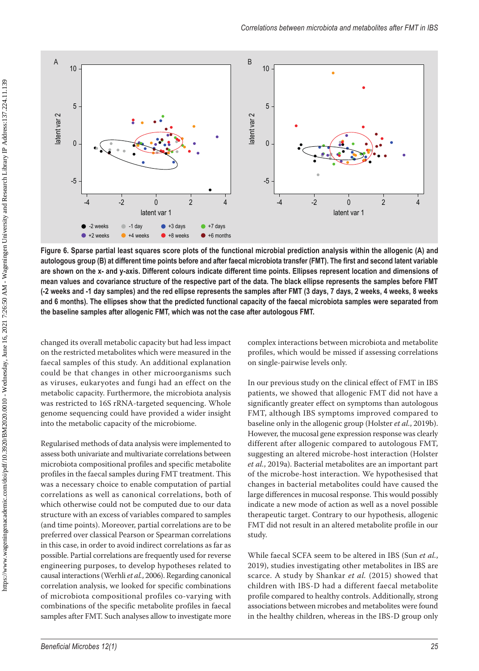

**Figure 6. Sparse partial least squares score plots of the functional microbial prediction analysis within the allogenic (A) and autologous group (B) at different time points before and after faecal microbiota transfer (FMT). The first and second latent variable are shown on the x- and y-axis. Different colours indicate different time points. Ellipses represent location and dimensions of mean values and covariance structure of the respective part of the data. The black ellipse represents the samples before FMT (-2 weeks and -1 day samples) and the red ellipse represents the samples after FMT (3 days, 7 days, 2 weeks, 4 weeks, 8 weeks and 6 months). The ellipses show that the predicted functional capacity of the faecal microbiota samples were separated from the baseline samples after allogenic FMT, which was not the case after autologous FMT.**

changed its overall metabolic capacity but had less impact on the restricted metabolites which were measured in the faecal samples of this study. An additional explanation could be that changes in other microorganisms such as viruses, eukaryotes and fungi had an effect on the metabolic capacity. Furthermore, the microbiota analysis was restricted to 16S rRNA-targeted sequencing. Whole genome sequencing could have provided a wider insight into the metabolic capacity of the microbiome.

Regularised methods of data analysis were implemented to assess both univariate and multivariate correlations between microbiota compositional profiles and specific metabolite profiles in the faecal samples during FMT treatment. This was a necessary choice to enable computation of partial correlations as well as canonical correlations, both of which otherwise could not be computed due to our data structure with an excess of variables compared to samples (and time points). Moreover, partial correlations are to be preferred over classical Pearson or Spearman correlations in this case, in order to avoid indirect correlations as far as possible. Partial correlations are frequently used for reverse engineering purposes, to develop hypotheses related to causal interactions (Werhli *et al.*, 2006). Regarding canonical correlation analysis, we looked for specific combinations of microbiota compositional profiles co-varying with combinations of the specific metabolite profiles in faecal samples after FMT. Such analyses allow to investigate more complex interactions between microbiota and metabolite profiles, which would be missed if assessing correlations on single-pairwise levels only.

In our previous study on the clinical effect of FMT in IBS patients, we showed that allogenic FMT did not have a significantly greater effect on symptoms than autologous FMT, although IBS symptoms improved compared to baseline only in the allogenic group (Holster *et al.*, 2019b). However, the mucosal gene expression response was clearly different after allogenic compared to autologous FMT, suggesting an altered microbe-host interaction (Holster *et al.*, 2019a). Bacterial metabolites are an important part of the microbe-host interaction. We hypothesised that changes in bacterial metabolites could have caused the large differences in mucosal response. This would possibly indicate a new mode of action as well as a novel possible therapeutic target. Contrary to our hypothesis, allogenic FMT did not result in an altered metabolite profile in our study.

While faecal SCFA seem to be altered in IBS (Sun *et al.*, 2019), studies investigating other metabolites in IBS are scarce. A study by Shankar *et al.* (2015) showed that children with IBS-D had a different faecal metabolite profile compared to healthy controls. Additionally, strong associations between microbes and metabolites were found in the healthy children, whereas in the IBS-D group only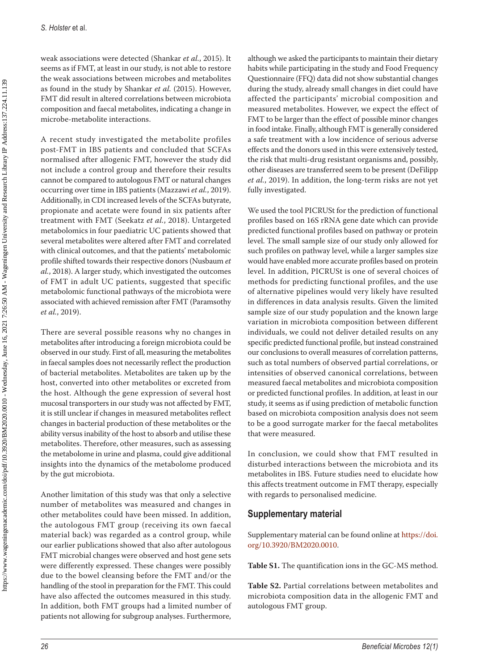weak associations were detected (Shankar *et al.*, 2015). It seems as if FMT, at least in our study, is not able to restore the weak associations between microbes and metabolites as found in the study by Shankar *et al.* (2015). However, FMT did result in altered correlations between microbiota composition and faecal metabolites, indicating a change in microbe-metabolite interactions.

A recent study investigated the metabolite profiles post-FMT in IBS patients and concluded that SCFAs normalised after allogenic FMT, however the study did not include a control group and therefore their results cannot be compared to autologous FMT or natural changes occurring over time in IBS patients (Mazzawi *et al.*, 2019). Additionally, in CDI increased levels of the SCFAs butyrate, propionate and acetate were found in six patients after treatment with FMT (Seekatz *et al.*, 2018). Untargeted metabolomics in four paediatric UC patients showed that several metabolites were altered after FMT and correlated with clinical outcomes, and that the patients' metabolomic profile shifted towards their respective donors (Nusbaum *et al.*, 2018). A larger study, which investigated the outcomes of FMT in adult UC patients, suggested that specific metabolomic functional pathways of the microbiota were associated with achieved remission after FMT (Paramsothy *et al.*, 2019).

There are several possible reasons why no changes in metabolites after introducing a foreign microbiota could be observed in our study. First of all, measuring the metabolites in faecal samples does not necessarily reflect the production of bacterial metabolites. Metabolites are taken up by the host, converted into other metabolites or excreted from the host. Although the gene expression of several host mucosal transporters in our study was not affected by FMT, it is still unclear if changes in measured metabolites reflect changes in bacterial production of these metabolites or the ability versus inability of the host to absorb and utilise these metabolites. Therefore, other measures, such as assessing the metabolome in urine and plasma, could give additional insights into the dynamics of the metabolome produced by the gut microbiota.

Another limitation of this study was that only a selective number of metabolites was measured and changes in other metabolites could have been missed. In addition, the autologous FMT group (receiving its own faecal material back) was regarded as a control group, while our earlier publications showed that also after autologous FMT microbial changes were observed and host gene sets were differently expressed. These changes were possibly due to the bowel cleansing before the FMT and/or the handling of the stool in preparation for the FMT. This could have also affected the outcomes measured in this study. In addition, both FMT groups had a limited number of patients not allowing for subgroup analyses. Furthermore,

although we asked the participants to maintain their dietary habits while participating in the study and Food Frequency Questionnaire (FFQ) data did not show substantial changes during the study, already small changes in diet could have affected the participants' microbial composition and measured metabolites. However, we expect the effect of FMT to be larger than the effect of possible minor changes in food intake. Finally, although FMT is generally considered a safe treatment with a low incidence of serious adverse effects and the donors used in this were extensively tested, the risk that multi-drug resistant organisms and, possibly, other diseases are transferred seem to be present (DeFilipp *et al.*, 2019). In addition, the long-term risks are not yet fully investigated.

We used the tool PICRUSt for the prediction of functional profiles based on 16S rRNA gene date which can provide predicted functional profiles based on pathway or protein level. The small sample size of our study only allowed for such profiles on pathway level, while a larger samples size would have enabled more accurate profiles based on protein level. In addition, PICRUSt is one of several choices of methods for predicting functional profiles, and the use of alternative pipelines would very likely have resulted in differences in data analysis results. Given the limited sample size of our study population and the known large variation in microbiota composition between different individuals, we could not deliver detailed results on any specific predicted functional profile, but instead constrained our conclusions to overall measures of correlation patterns, such as total numbers of observed partial correlations, or intensities of observed canonical correlations, between measured faecal metabolites and microbiota composition or predicted functional profiles. In addition, at least in our study, it seems as if using prediction of metabolic function based on microbiota composition analysis does not seem to be a good surrogate marker for the faecal metabolites that were measured.

In conclusion, we could show that FMT resulted in disturbed interactions between the microbiota and its metabolites in IBS. Future studies need to elucidate how this affects treatment outcome in FMT therapy, especially with regards to personalised medicine.

## **Supplementary material**

Supplementary material can be found online at [https://doi.](https://doi.org/10.3920/BM2020.0010) [org/10.3920/BM2020.0010](https://doi.org/10.3920/BM2020.0010).

**Table S1.** The quantification ions in the GC-MS method.

**Table S2.** Partial correlations between metabolites and microbiota composition data in the allogenic FMT and autologous FMT group.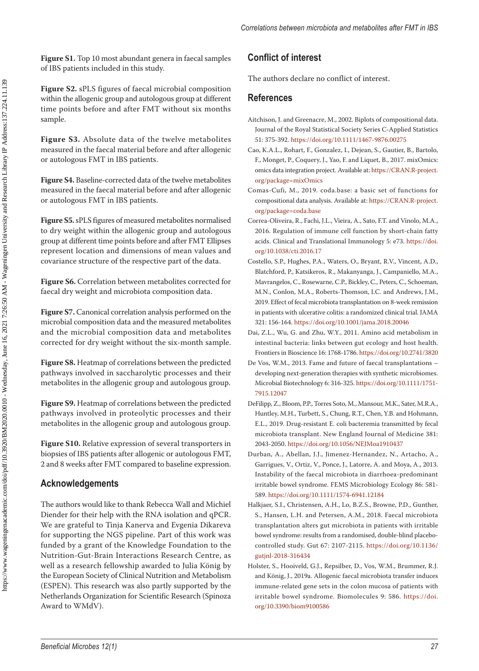**Figure S1.** Top 10 most abundant genera in faecal samples of IBS patients included in this study.

**Figure S2.** sPLS figures of faecal microbial composition within the allogenic group and autologous group at different time points before and after FMT without six months sample.

**Figure S3.** Absolute data of the twelve metabolites measured in the faecal material before and after allogenic or autologous FMT in IBS patients.

**Figure S4.** Baseline-corrected data of the twelve metabolites measured in the faecal material before and after allogenic or autologous FMT in IBS patients.

**Figure S5.** sPLS figures of measured metabolites normalised to dry weight within the allogenic group and autologous group at different time points before and after FMT Ellipses represent location and dimensions of mean values and covariance structure of the respective part of the data.

**Figure S6.** Correlation between metabolites corrected for faecal dry weight and microbiota composition data.

Figure S7. Canonical correlation analysis performed on the microbial composition data and the measured metabolites and the microbial composition data and metabolites corrected for dry weight without the six-month sample.

**Figure S8.** Heatmap of correlations between the predicted pathways involved in saccharolytic processes and their metabolites in the allogenic group and autologous group.

**Figure S9.** Heatmap of correlations between the predicted pathways involved in proteolytic processes and their metabolites in the allogenic group and autologous group.

**Figure S10.** Relative expression of several transporters in biopsies of IBS patients after allogenic or autologous FMT, 2 and 8 weeks after FMT compared to baseline expression.

## **Acknowledgements**

The authors would like to thank Rebecca Wall and Michiel Diender for their help with the RNA isolation and qPCR. We are grateful to Tinja Kanerva and Evgenia Dikareva for supporting the NGS pipeline. Part of this work was funded by a grant of the Knowledge Foundation to the Nutrition-Gut-Brain Interactions Research Centre, as well as a research fellowship awarded to Julia König by the European Society of Clinical Nutrition and Metabolism (ESPEN). This research was also partly supported by the Netherlands Organization for Scientific Research (Spinoza Award to WMdV).

## **Conflict of interest**

The authors declare no conflict of interest.

### **References**

- Aitchison, J. and Greenacre, M., 2002. Biplots of compositional data. Journal of the Royal Statistical Society Series C-Applied Statistics 51: 375-392.<https://doi.org/10.1111/1467-9876.00275>
- Cao, K.A.L., Rohart, F., Gonzalez, I., Dejean, S., Gautier, B., Bartolo, F., Monget, P., Coquery, J., Yao, F. and Liquet, B., 2017. mixOmics: omics data integration project. Available at: [https://CRAN.R-project.](https://CRAN.R-project.org/package=mixOmics) [org/package=mixOmics](https://CRAN.R-project.org/package=mixOmics)
- Comas-Cufi, M., 2019. coda.base: a basic set of functions for compositional data analysis. Available at: [https://CRAN.R-project.](https://CRAN.R-project.org/package=coda.base) [org/package=coda.base](https://CRAN.R-project.org/package=coda.base)
- Correa-Oliveira, R., Fachi, J.L., Vieira, A., Sato, F.T. and Vinolo, M.A., 2016. Regulation of immune cell function by short-chain fatty acids. Clinical and Translational Immunology 5: e73. [https://doi.](https://doi.org/10.1038/cti.2016.17) [org/10.1038/cti.2016.17](https://doi.org/10.1038/cti.2016.17)
- Costello, S.P., Hughes, P.A., Waters, O., Bryant, R.V., Vincent, A.D., Blatchford, P., Katsikeros, R., Makanyanga, J., Campaniello, M.A., Mavrangelos, C., Rosewarne, C.P., Bickley, C., Peters, C., Schoeman, M.N., Conlon, M.A., Roberts-Thomson, I.C. and Andrews, J.M., 2019. Effect of fecal microbiota transplantation on 8-week remission in patients with ulcerative colitis: a randomized clinical trial. JAMA 321: 156-164.<https://doi.org/10.1001/jama.2018.20046>
- Dai, Z.L., Wu, G. and Zhu, W.Y., 2011. Amino acid metabolism in intestinal bacteria: links between gut ecology and host health. Frontiers in Bioscience 16: 1768-1786.<https://doi.org/10.2741/3820>
- De Vos, W.M., 2013. Fame and future of faecal transplantations developing next-generation therapies with synthetic microbiomes. Microbial Biotechnology 6: 316-325. [https://doi.org/10.1111/1751-](https://doi.org/10.1111/1751-7915.12047) [7915.12047](https://doi.org/10.1111/1751-7915.12047)
- DeFilipp, Z., Bloom, P.P., Torres Soto, M., Mansour, M.K., Sater, M.R.A., Huntley, M.H., Turbett, S., Chung, R.T., Chen, Y.B. and Hohmann, E.L., 2019. Drug-resistant E. coli bacteremia transmitted by fecal microbiota transplant. New England Journal of Medicine 381: 2043-2050. <https://doi.org/10.1056/NEJMoa1910437>
- Durban, A., Abellan, J.J., Jimenez-Hernandez, N., Artacho, A., Garrigues, V., Ortiz, V., Ponce, J., Latorre, A. and Moya, A., 2013. Instability of the faecal microbiota in diarrhoea-predominant irritable bowel syndrome. FEMS Microbiology Ecology 86: 581- 589. <https://doi.org/10.1111/1574-6941.12184>
- Halkjaer, S.I., Christensen, A.H., Lo, B.Z.S., Browne, P.D., Gunther, S., Hansen, L.H. and Petersen, A.M., 2018. Faecal microbiota transplantation alters gut microbiota in patients with irritable bowel syndrome: results from a randomised, double-blind placebocontrolled study. Gut 67: 2107-2115. [https://doi.org/10.1136/](https://doi.org/10.1136/gutjnl-2018-316434) [gutjnl-2018-316434](https://doi.org/10.1136/gutjnl-2018-316434)
- Holster, S., Hooiveld, G.J., Repsilber, D., Vos, W.M., Brummer, R.J. and König, J., 2019a. Allogenic faecal microbiota transfer induces immune-related gene sets in the colon mucosa of patients with irritable bowel syndrome. Biomolecules 9: 586. [https://doi.](https://doi.org/10.3390/biom9100586) [org/10.3390/biom9100586](https://doi.org/10.3390/biom9100586)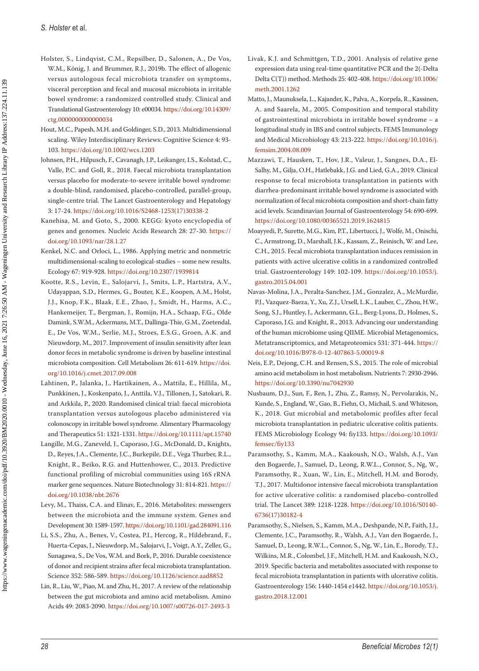- Holster, S., Lindqvist, C.M., Repsilber, D., Salonen, A., De Vos, W.M., König, J. and Brummer, R.J., 2019b. The effect of allogenic versus autologous fecal microbiota transfer on symptoms, visceral perception and fecal and mucosal microbiota in irritable bowel syndrome: a randomized controlled study. Clinical and Translational Gastroenterology 10: e00034. [https://doi.org/10.14309/](https://doi.org/10.14309/ctg.0000000000000034) [ctg.0000000000000034](https://doi.org/10.14309/ctg.0000000000000034)
- Hout, M.C., Papesh, M.H. and Goldinger, S.D., 2013. Multidimensional scaling. Wiley Interdisciplinary Reviews: Cognitive Science 4: 93- 103.<https://doi.org/10.1002/wcs.1203>
- Johnsen, P.H., Hilpusch, F., Cavanagh, J.P., Leikanger, I.S., Kolstad, C., Valle, P.C. and Goll, R., 2018. Faecal microbiota transplantation versus placebo for moderate-to-severe irritable bowel syndrome: a double-blind, randomised, placebo-controlled, parallel-group, single-centre trial. The Lancet Gastroenterology and Hepatology 3: 17-24. [https://doi.org/10.1016/S2468-1253\(17\)30338-2](https://doi.org/10.1016/S2468-1253(17)30338-2)
- Kanehisa, M. and Goto, S., 2000. KEGG: kyoto encyclopedia of genes and genomes. Nucleic Acids Research 28: 27-30. [https://](https://doi.org/10.1093/nar/28.1.27) [doi.org/10.1093/nar/28.1.27](https://doi.org/10.1093/nar/28.1.27)
- Kenkel, N.C. and Orloci, L., 1986. Applying metric and nonmetric multidimensional-scaling to ecological-studies – some new results. Ecology 67: 919-928.<https://doi.org/10.2307/1939814>
- Kootte, R.S., Levin, E., Salojarvi, J., Smits, L.P., Hartstra, A.V., Udayappan, S.D., Hermes, G., Bouter, K.E., Koopen, A.M., Holst, J.J., Knop, F.K., Blaak, E.E., Zhao, J., Smidt, H., Harms, A.C., Hankemeijer, T., Bergman, J., Romijn, H.A., Schaap, F.G., Olde Damink, S.W.M., Ackermans, M.T., Dallinga-Thie, G.M., Zoetendal, E., De Vos, W.M., Serlie, M.J., Stroes, E.S.G., Groen, A.K. and Nieuwdorp, M., 2017. Improvement of insulin sensitivity after lean donor feces in metabolic syndrome is driven by baseline intestinal microbiota composition. Cell Metabolism 26: 611-619. [https://doi.](https://doi.org/10.1016/j.cmet.2017.09.008) [org/10.1016/j.cmet.2017.09.008](https://doi.org/10.1016/j.cmet.2017.09.008)
- Lahtinen, P., Jalanka, J., Hartikainen, A., Mattila, E., Hillila, M., Punkkinen, J., Koskenpato, J., Anttila, V.J., Tillonen, J., Satokari, R. and Arkkila, P., 2020. Randomised clinical trial: faecal microbiota transplantation versus autologous placebo administered via colonoscopy in irritable bowel syndrome. Alimentary Pharmacology and Therapeutics 51: 1321-1331. <https://doi.org/10.1111/apt.15740>
- Langille, M.G., Zaneveld, J., Caporaso, J.G., McDonald, D., Knights, D., Reyes, J.A., Clemente, J.C., Burkepile, D.E., Vega Thurber, R.L., Knight, R., Beiko, R.G. and Huttenhower, C., 2013. Predictive functional profiling of microbial communities using 16S rRNA marker gene sequences. Nature Biotechnology 31: 814-821. [https://](https://doi.org/10.1038/nbt.2676) [doi.org/10.1038/nbt.2676](https://doi.org/10.1038/nbt.2676)
- Levy, M., Thaiss, C.A. and Elinav, E., 2016. Metabolites: messengers between the microbiota and the immune system. Genes and Development 30: 1589-1597. <https://doi.org/10.1101/gad.284091.116>
- Li, S.S., Zhu, A., Benes, V., Costea, P.I., Hercog, R., Hildebrand, F., Huerta-Cepas, J., Nieuwdorp, M., Salojarvi, J., Voigt, A.Y., Zeller, G., Sunagawa, S., De Vos, W.M. and Bork, P., 2016. Durable coexistence of donor and recipient strains after fecal microbiota transplantation. Science 352: 586-589.<https://doi.org/10.1126/science.aad8852>
- Lin, R., Liu, W., Piao, M. and Zhu, H., 2017. A review of the relationship between the gut microbiota and amino acid metabolism. Amino Acids 49: 2083-2090. <https://doi.org/10.1007/s00726-017-2493-3>
- Livak, K.J. and Schmittgen, T.D., 2001. Analysis of relative gene expression data using real-time quantitative PCR and the 2(-Delta Delta C(T)) method. Methods 25: 402-408. [https://doi.org/10.1006/](https://doi.org/10.1006/meth.2001.1262) [meth.2001.1262](https://doi.org/10.1006/meth.2001.1262)
- Matto, J., Maunuksela, L., Kajander, K., Palva, A., Korpela, R., Kassinen, A. and Saarela, M., 2005. Composition and temporal stability of gastrointestinal microbiota in irritable bowel syndrome – a longitudinal study in IBS and control subjects. FEMS Immunology and Medical Microbiology 43: 213-222. [https://doi.org/10.1016/j.](https://doi.org/10.1016/j.femsim.2004.08.009) [femsim.2004.08.009](https://doi.org/10.1016/j.femsim.2004.08.009)
- Mazzawi, T., Hausken, T., Hov, J.R., Valeur, J., Sangnes, D.A., El-Salhy, M., Gilja, O.H., Hatlebakk, J.G. and Lied, G.A., 2019. Clinical response to fecal microbiota transplantation in patients with diarrhea-predominant irritable bowel syndrome is associated with normalization of fecal microbiota composition and short-chain fatty acid levels. Scandinavian Journal of Gastroenterology 54: 690-699. <https://doi.org/10.1080/00365521.2019.1624815>
- Moayyedi, P., Surette, M.G., Kim, P.T., Libertucci, J., Wolfe, M., Onischi, C., Armstrong, D., Marshall, J.K., Kassam, Z., Reinisch, W. and Lee, C.H., 2015. Fecal microbiota transplantation induces remission in patients with active ulcerative colitis in a randomized controlled trial. Gastroenterology 149: 102-109. [https://doi.org/10.1053/j.](https://doi.org/10.1053/j.gastro.2015.04.001) [gastro.2015.04.001](https://doi.org/10.1053/j.gastro.2015.04.001)
- Navas-Molina, J.A., Peralta-Sanchez, J.M., Gonzalez, A., McMurdie, P.J., Vazquez-Baeza, Y., Xu, Z.J., Ursell, L.K., Lauber, C., Zhou, H.W., Song, S.J., Huntley, J., Ackermann, G.L., Berg-Lyons, D., Holmes, S., Caporaso, J.G. and Knight, R., 2013. Advancing our understanding of the human microbiome using QIIME. Microbial Metagenomics, Metatranscriptomics, and Metaproteomics 531: 371-444. [https://](https://doi.org/10.1016/B978-0-12-407863-5.00019-8) [doi.org/10.1016/B978-0-12-407863-5.00019-8](https://doi.org/10.1016/B978-0-12-407863-5.00019-8)
- Neis, E.P., Dejong, C.H. and Rensen, S.S., 2015. The role of microbial amino acid metabolism in host metabolism. Nutrients 7: 2930-2946. <https://doi.org/10.3390/nu7042930>
- Nusbaum, D.J., Sun, F., Ren, J., Zhu, Z., Ramsy, N., Pervolarakis, N., Kunde, S., England, W., Gao, B., Fiehn, O., Michail, S. and Whiteson, K., 2018. Gut microbial and metabolomic profiles after fecal microbiota transplantation in pediatric ulcerative colitis patients. FEMS Microbiology Ecology 94: fiy133. [https://doi.org/10.1093/](https://doi.org/10.1093/femsec/fiy133) [femsec/fiy133](https://doi.org/10.1093/femsec/fiy133)
- Paramsothy, S., Kamm, M.A., Kaakoush, N.O., Walsh, A.J., Van den Bogaerde, J., Samuel, D., Leong, R.W.L., Connor, S., Ng, W., Paramsothy, R., Xuan, W., Lin, E., Mitchell, H.M. and Borody, T.J., 2017. Multidonor intensive faecal microbiota transplantation for active ulcerative colitis: a randomised placebo-controlled trial. The Lancet 389: 1218-1228. [https://doi.org/10.1016/S0140-](https://doi.org/10.1016/S0140-6736(17)30182-4) [6736\(17\)30182-4](https://doi.org/10.1016/S0140-6736(17)30182-4)
- Paramsothy, S., Nielsen, S., Kamm, M.A., Deshpande, N.P., Faith, J.J., Clemente, J.C., Paramsothy, R., Walsh, A.J., Van den Bogaerde, J., Samuel, D., Leong, R.W.L., Connor, S., Ng, W., Lin, E., Borody, T.J., Wilkins, M.R., Colombel, J.F., Mitchell, H.M. and Kaakoush, N.O., 2019. Specific bacteria and metabolites associated with response to fecal microbiota transplantation in patients with ulcerative colitis. Gastroenterology 156: 1440-1454 e1442. [https://doi.org/10.1053/j.](https://doi.org/10.1053/j.gastro.2018.12.001) [gastro.2018.12.001](https://doi.org/10.1053/j.gastro.2018.12.001)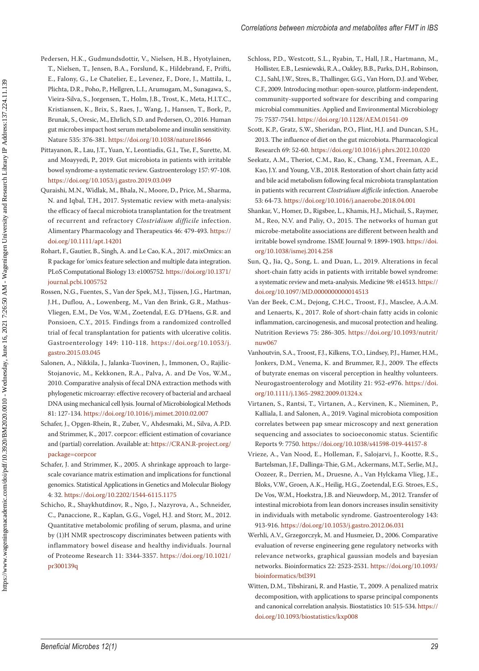- Pedersen, H.K., Gudmundsdottir, V., Nielsen, H.B., Hyotylainen, T., Nielsen, T., Jensen, B.A., Forslund, K., Hildebrand, F., Prifti, E., Falony, G., Le Chatelier, E., Levenez, F., Dore, J., Mattila, I., Plichta, D.R., Poho, P., Hellgren, L.I., Arumugam, M., Sunagawa, S., Vieira-Silva, S., Jorgensen, T., Holm, J.B., Trost, K., Meta, H.I.T.C., Kristiansen, K., Brix, S., Raes, J., Wang, J., Hansen, T., Bork, P., Brunak, S., Oresic, M., Ehrlich, S.D. and Pedersen, O., 2016. Human gut microbes impact host serum metabolome and insulin sensitivity. Nature 535: 376-381.<https://doi.org/10.1038/nature18646>
- Pittayanon, R., Lau, J.T., Yuan, Y., Leontiadis, G.I., Tse, F., Surette, M. and Moayyedi, P., 2019. Gut microbiota in patients with irritable bowel syndrome-a systematic review. Gastroenterology 157: 97-108. <https://doi.org/10.1053/j.gastro.2019.03.049>
- Quraishi, M.N., Widlak, M., Bhala, N., Moore, D., Price, M., Sharma, N. and Iqbal, T.H., 2017. Systematic review with meta-analysis: the efficacy of faecal microbiota transplantation for the treatment of recurrent and refractory *Clostridium difficile* infection. Alimentary Pharmacology and Therapeutics 46: 479-493. [https://](https://doi.org/10.1111/apt.14201) [doi.org/10.1111/apt.14201](https://doi.org/10.1111/apt.14201)
- Rohart, F., Gautier, B., Singh, A. and Le Cao, K.A., 2017. mixOmics: an R package for 'omics feature selection and multiple data integration. PLoS Computational Biology 13: e1005752. [https://doi.org/10.1371/](https://doi.org/10.1371/journal.pcbi.1005752) [journal.pcbi.1005752](https://doi.org/10.1371/journal.pcbi.1005752)
- Rossen, N.G., Fuentes, S., Van der Spek, M.J., Tijssen, J.G., Hartman, J.H., Duflou, A., Lowenberg, M., Van den Brink, G.R., Mathus-Vliegen, E.M., De Vos, W.M., Zoetendal, E.G. D'Haens, G.R. and Ponsioen, C.Y., 2015. Findings from a randomized controlled trial of fecal transplantation for patients with ulcerative colitis. Gastroenterology 149: 110-118. [https://doi.org/10.1053/j.](https://doi.org/10.1053/j.gastro.2015.03.045) [gastro.2015.03.045](https://doi.org/10.1053/j.gastro.2015.03.045)
- Salonen, A., Nikkila, J., Jalanka-Tuovinen, J., Immonen, O., Rajilic-Stojanovic, M., Kekkonen, R.A., Palva, A. and De Vos, W.M., 2010. Comparative analysis of fecal DNA extraction methods with phylogenetic microarray: effective recovery of bacterial and archaeal DNA using mechanical cell lysis. Journal of Microbiological Methods 81: 127-134.<https://doi.org/10.1016/j.mimet.2010.02.007>
- Schafer, J., Opgen-Rhein, R., Zuber, V., Ahdesmaki, M., Silva, A.P.D. and Strimmer, K., 2017. corpcor: efficient estimation of covariance and (partial) correlation. Available at: [https://CRAN.R-project.org/](https://CRAN.R-project.org/package=corpcor) [package=corpcor](https://CRAN.R-project.org/package=corpcor)
- Schafer, J. and Strimmer, K., 2005. A shrinkage approach to largescale covariance matrix estimation and implications for functional genomics. Statistical Applications in Genetics and Molecular Biology 4: 32.<https://doi.org/10.2202/1544-6115.1175>
- Schicho, R., Shaykhutdinov, R., Ngo, J., Nazyrova, A., Schneider, C., Panaccione, R., Kaplan, G.G., Vogel, H.J. and Storr, M., 2012. Quantitative metabolomic profiling of serum, plasma, and urine by (1)H NMR spectroscopy discriminates between patients with inflammatory bowel disease and healthy individuals. Journal of Proteome Research 11: 3344-3357. [https://doi.org/10.1021/](https://doi.org/10.1021/pr300139q) [pr300139q](https://doi.org/10.1021/pr300139q)
- Schloss, P.D., Westcott, S.L., Ryabin, T., Hall, J.R., Hartmann, M., Hollister, E.B., Lesniewski, R.A., Oakley, B.B., Parks, D.H., Robinson, C.J., Sahl, J.W., Stres, B., Thallinger, G.G., Van Horn, D.J. and Weber, C.F., 2009. Introducing mothur: open-source, platform-independent, community-supported software for describing and comparing microbial communities. Applied and Environmental Microbiology 75: 7537-7541.<https://doi.org/10.1128/AEM.01541-09>
- Scott, K.P., Gratz, S.W., Sheridan, P.O., Flint, H.J. and Duncan, S.H., 2013. The influence of diet on the gut microbiota. Pharmacological Research 69: 52-60.<https://doi.org/10.1016/j.phrs.2012.10.020>
- Seekatz, A.M., Theriot, C.M., Rao, K., Chang, Y.M., Freeman, A.E., Kao, J.Y. and Young, V.B., 2018. Restoration of short chain fatty acid and bile acid metabolism following fecal microbiota transplantation in patients with recurrent *Clostridium difficile* infection. Anaerobe 53: 64-73.<https://doi.org/10.1016/j.anaerobe.2018.04.001>
- Shankar, V., Homer, D., Rigsbee, L., Khamis, H.J., Michail, S., Raymer, M., Reo, N.V. and Paliy, O., 2015. The networks of human gut microbe-metabolite associations are different between health and irritable bowel syndrome. ISME Journal 9: 1899-1903. [https://doi.](https://doi.org/10.1038/ismej.2014.258) [org/10.1038/ismej.2014.258](https://doi.org/10.1038/ismej.2014.258)
- Sun, Q., Jia, Q., Song, L. and Duan, L., 2019. Alterations in fecal short-chain fatty acids in patients with irritable bowel syndrome: a systematic review and meta-analysis. Medicine 98: e14513. [https://](https://doi.org/10.1097/MD.0000000000014513) [doi.org/10.1097/MD.0000000000014513](https://doi.org/10.1097/MD.0000000000014513)
- Van der Beek, C.M., Dejong, C.H.C., Troost, F.J., Masclee, A.A.M. and Lenaerts, K., 2017. Role of short-chain fatty acids in colonic inflammation, carcinogenesis, and mucosal protection and healing. Nutrition Reviews 75: 286-305. [https://doi.org/10.1093/nutrit/](https://doi.org/10.1093/nutrit/nuw067) [nuw067](https://doi.org/10.1093/nutrit/nuw067)
- Vanhoutvin, S.A., Troost, F.J., Kilkens, T.O., Lindsey, P.J., Hamer, H.M., Jonkers, D.M., Venema, K. and Brummer, R.J., 2009. The effects of butyrate enemas on visceral perception in healthy volunteers. Neurogastroenterology and Motility 21: 952-e976. [https://doi.](https://doi.org/10.1111/j.1365-2982.2009.01324.x) [org/10.1111/j.1365-2982.2009.01324.x](https://doi.org/10.1111/j.1365-2982.2009.01324.x)
- Virtanen, S., Rantsi, T., Virtanen, A., Kervinen, K., Nieminen, P., Kalliala, I. and Salonen, A., 2019. Vaginal microbiota composition correlates between pap smear microscopy and next generation sequencing and associates to socioeconomic status. Scientific Reports 9: 7750. <https://doi.org/10.1038/s41598-019-44157-8>
- Vrieze, A., Van Nood, E., Holleman, F., Salojarvi, J., Kootte, R.S., Bartelsman, J.F., Dallinga-Thie, G.M., Ackermans, M.T., Serlie, M.J., Oozeer, R., Derrien, M., Druesne, A., Van Hylckama Vlieg, J.E., Bloks, V.W., Groen, A.K., Heilig, H.G., Zoetendal, E.G. Stroes, E.S., De Vos, W.M., Hoekstra, J.B. and Nieuwdorp, M., 2012. Transfer of intestinal microbiota from lean donors increases insulin sensitivity in individuals with metabolic syndrome. Gastroenterology 143: 913-916. <https://doi.org/10.1053/j.gastro.2012.06.031>
- Werhli, A.V., Grzegorczyk, M. and Husmeier, D., 2006. Comparative evaluation of reverse engineering gene regulatory networks with relevance networks, graphical gaussian models and bayesian networks. Bioinformatics 22: 2523-2531. [https://doi.org/10.1093/](https://doi.org/10.1093/bioinformatics/btl391) [bioinformatics/btl391](https://doi.org/10.1093/bioinformatics/btl391)
- Witten, D.M., Tibshirani, R. and Hastie, T., 2009. A penalized matrix decomposition, with applications to sparse principal components and canonical correlation analysis. Biostatistics 10: 515-534. [https://](https://doi.org/10.1093/biostatistics/kxp008) [doi.org/10.1093/biostatistics/kxp008](https://doi.org/10.1093/biostatistics/kxp008)